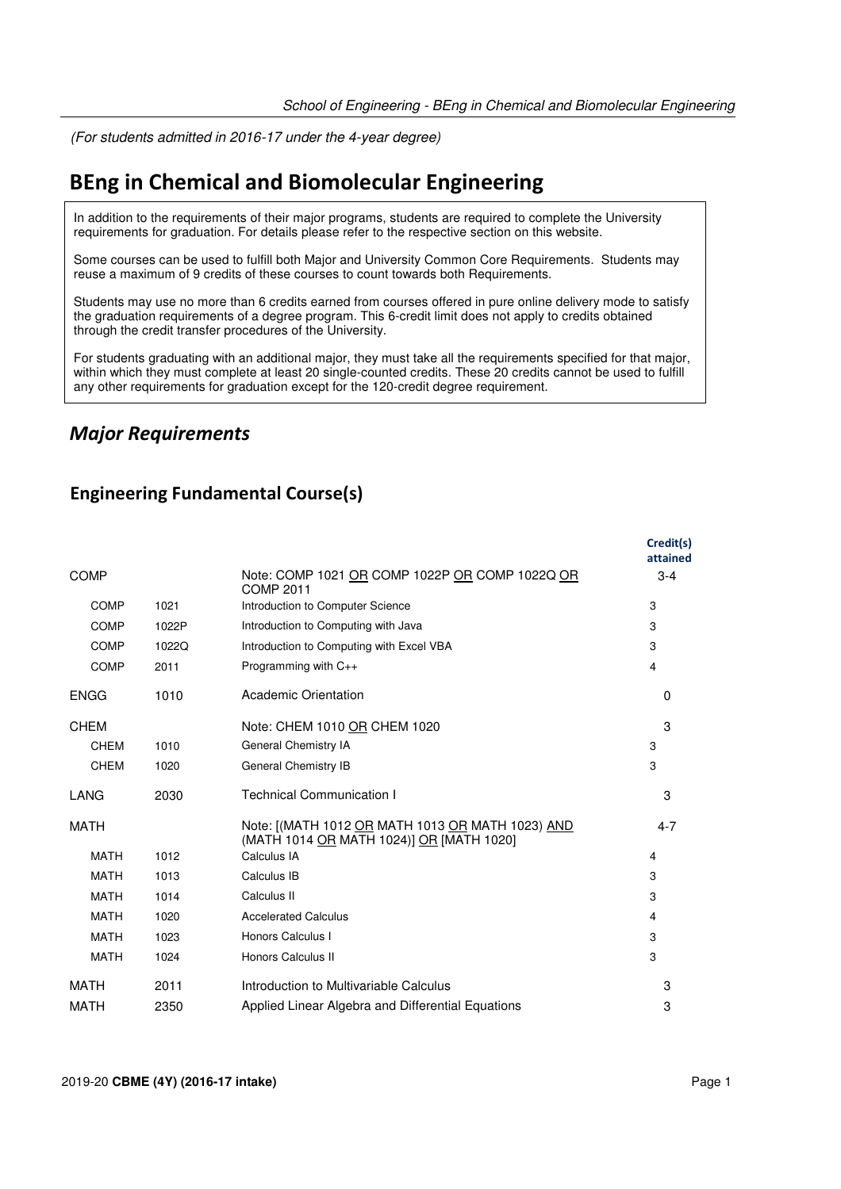(For students admitted in 2016-17 under the 4-year degree)

## **BEng in Chemical and Biomolecular Engineering**

In addition to the requirements of their major programs, students are required to complete the University requirements for graduation. For details please refer to the respective section on this website.

Some courses can be used to fulfill both Major and University Common Core Requirements. Students may reuse a maximum of 9 credits of these courses to count towards both Requirements.

Students may use no more than 6 credits earned from courses offered in pure online delivery mode to satisfy the graduation requirements of a degree program. This 6-credit limit does not apply to credits obtained through the credit transfer procedures of the University.

For students graduating with an additional major, they must take all the requirements specified for that major, within which they must complete at least 20 single-counted credits. These 20 credits cannot be used to fulfill any other requirements for graduation except for the 120-credit degree requirement.

### *Major Requirements*

#### **Engineering Fundamental Course(s)**

|             |       |                                                                                              | Credit(s)<br>attained |
|-------------|-------|----------------------------------------------------------------------------------------------|-----------------------|
| <b>COMP</b> |       | Note: COMP 1021 OR COMP 1022P OR COMP 1022Q OR<br>COMP 2011                                  | $3 - 4$               |
| <b>COMP</b> | 1021  | Introduction to Computer Science                                                             | 3                     |
| <b>COMP</b> | 1022P | Introduction to Computing with Java                                                          | 3                     |
| COMP        | 1022Q | Introduction to Computing with Excel VBA                                                     | 3                     |
| <b>COMP</b> | 2011  | Programming with C++                                                                         | 4                     |
| <b>ENGG</b> | 1010  | Academic Orientation                                                                         | $\Omega$              |
| <b>CHEM</b> |       | Note: CHEM 1010 OR CHEM 1020                                                                 | 3                     |
| <b>CHEM</b> | 1010  | General Chemistry IA                                                                         | 3                     |
| <b>CHEM</b> | 1020  | General Chemistry IB                                                                         | 3                     |
| LANG        | 2030  | <b>Technical Communication I</b>                                                             | 3                     |
| <b>MATH</b> |       | Note: [(MATH 1012 OR MATH 1013 OR MATH 1023) AND<br>(MATH 1014 OR MATH 1024)] OR [MATH 1020] | $4 - 7$               |
| <b>MATH</b> | 1012  | Calculus IA                                                                                  | 4                     |
| <b>MATH</b> | 1013  | Calculus IB                                                                                  | 3                     |
| <b>MATH</b> | 1014  | Calculus II                                                                                  | 3                     |
| <b>MATH</b> | 1020  | <b>Accelerated Calculus</b>                                                                  | 4                     |
| <b>MATH</b> | 1023  | Honors Calculus I                                                                            | 3                     |
| <b>MATH</b> | 1024  | Honors Calculus II                                                                           | 3                     |
| MATH        | 2011  | Introduction to Multivariable Calculus                                                       | 3                     |
| <b>MATH</b> | 2350  | Applied Linear Algebra and Differential Equations                                            | 3                     |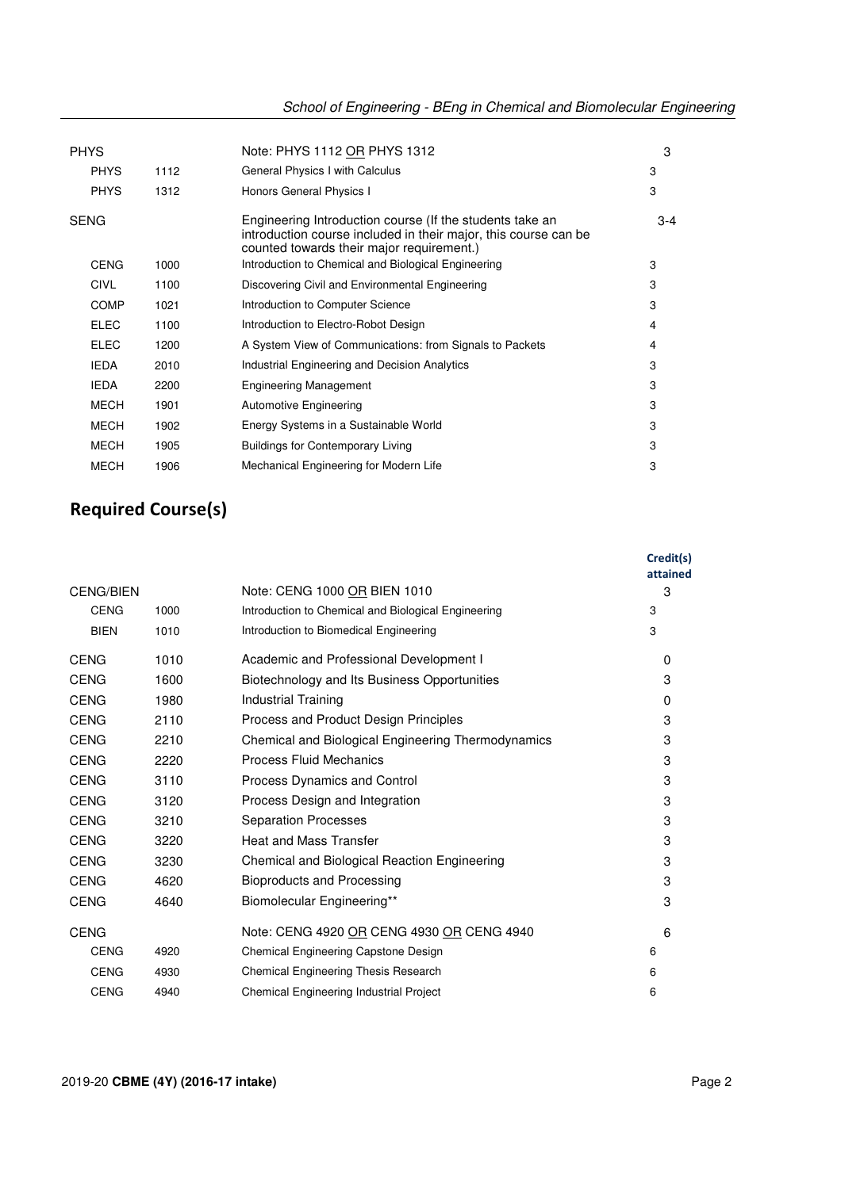|  | School of Engineering - BEng in Chemical and Biomolecular Engineering |
|--|-----------------------------------------------------------------------|
|  |                                                                       |

|             |                            | Note: PHYS 1112 OR PHYS 1312                                                                                                                                             | 3       |
|-------------|----------------------------|--------------------------------------------------------------------------------------------------------------------------------------------------------------------------|---------|
| <b>PHYS</b> | 1112                       | General Physics I with Calculus                                                                                                                                          | 3       |
| <b>PHYS</b> | 1312                       | Honors General Physics I                                                                                                                                                 | 3       |
|             |                            | Engineering Introduction course (If the students take an<br>introduction course included in their major, this course can be<br>counted towards their major requirement.) | $3 - 4$ |
| <b>CENG</b> | 1000                       | Introduction to Chemical and Biological Engineering                                                                                                                      | 3       |
| <b>CIVL</b> | 1100                       | Discovering Civil and Environmental Engineering                                                                                                                          | 3       |
| <b>COMP</b> | 1021                       | Introduction to Computer Science                                                                                                                                         | 3       |
| ELEC        | 1100                       | Introduction to Electro-Robot Design                                                                                                                                     | 4       |
| ELEC        | 1200                       | A System View of Communications: from Signals to Packets                                                                                                                 | 4       |
| <b>IEDA</b> | 2010                       | Industrial Engineering and Decision Analytics                                                                                                                            | 3       |
| <b>IEDA</b> | 2200                       | <b>Engineering Management</b>                                                                                                                                            | 3       |
| <b>MECH</b> | 1901                       | <b>Automotive Engineering</b>                                                                                                                                            | 3       |
| <b>MECH</b> | 1902                       | Energy Systems in a Sustainable World                                                                                                                                    | 3       |
| <b>MECH</b> | 1905                       | <b>Buildings for Contemporary Living</b>                                                                                                                                 | 3       |
| <b>MECH</b> | 1906                       | Mechanical Engineering for Modern Life                                                                                                                                   | 3       |
|             | <b>PHYS</b><br><b>SENG</b> |                                                                                                                                                                          |         |

# **Required Course(s)**

|                  |      |                                                     | Credit(s)<br>attained |
|------------------|------|-----------------------------------------------------|-----------------------|
| <b>CENG/BIEN</b> |      | Note: CENG 1000 OR BIEN 1010                        | 3                     |
| <b>CENG</b>      | 1000 | Introduction to Chemical and Biological Engineering | 3                     |
| <b>BIEN</b>      | 1010 | Introduction to Biomedical Engineering              | 3                     |
| <b>CENG</b>      | 1010 | Academic and Professional Development I             | 0                     |
| <b>CENG</b>      | 1600 | Biotechnology and Its Business Opportunities        | 3                     |
| <b>CENG</b>      | 1980 | <b>Industrial Training</b>                          | 0                     |
| <b>CENG</b>      | 2110 | Process and Product Design Principles               | 3                     |
| <b>CENG</b>      | 2210 | Chemical and Biological Engineering Thermodynamics  | 3                     |
| <b>CENG</b>      | 2220 | <b>Process Fluid Mechanics</b>                      | 3                     |
| <b>CENG</b>      | 3110 | Process Dynamics and Control                        | 3                     |
| <b>CENG</b>      | 3120 | Process Design and Integration                      | 3                     |
| <b>CENG</b>      | 3210 | <b>Separation Processes</b>                         | 3                     |
| <b>CENG</b>      | 3220 | <b>Heat and Mass Transfer</b>                       | 3                     |
| <b>CENG</b>      | 3230 | Chemical and Biological Reaction Engineering        | 3                     |
| <b>CENG</b>      | 4620 | <b>Bioproducts and Processing</b>                   | 3                     |
| <b>CENG</b>      | 4640 | Biomolecular Engineering**                          | 3                     |
| <b>CENG</b>      |      | Note: CENG 4920 OR CENG 4930 OR CENG 4940           | 6                     |
| <b>CENG</b>      | 4920 | Chemical Engineering Capstone Design                | 6                     |
| <b>CENG</b>      | 4930 | Chemical Engineering Thesis Research                | 6                     |
| <b>CENG</b>      | 4940 | Chemical Engineering Industrial Project             | 6                     |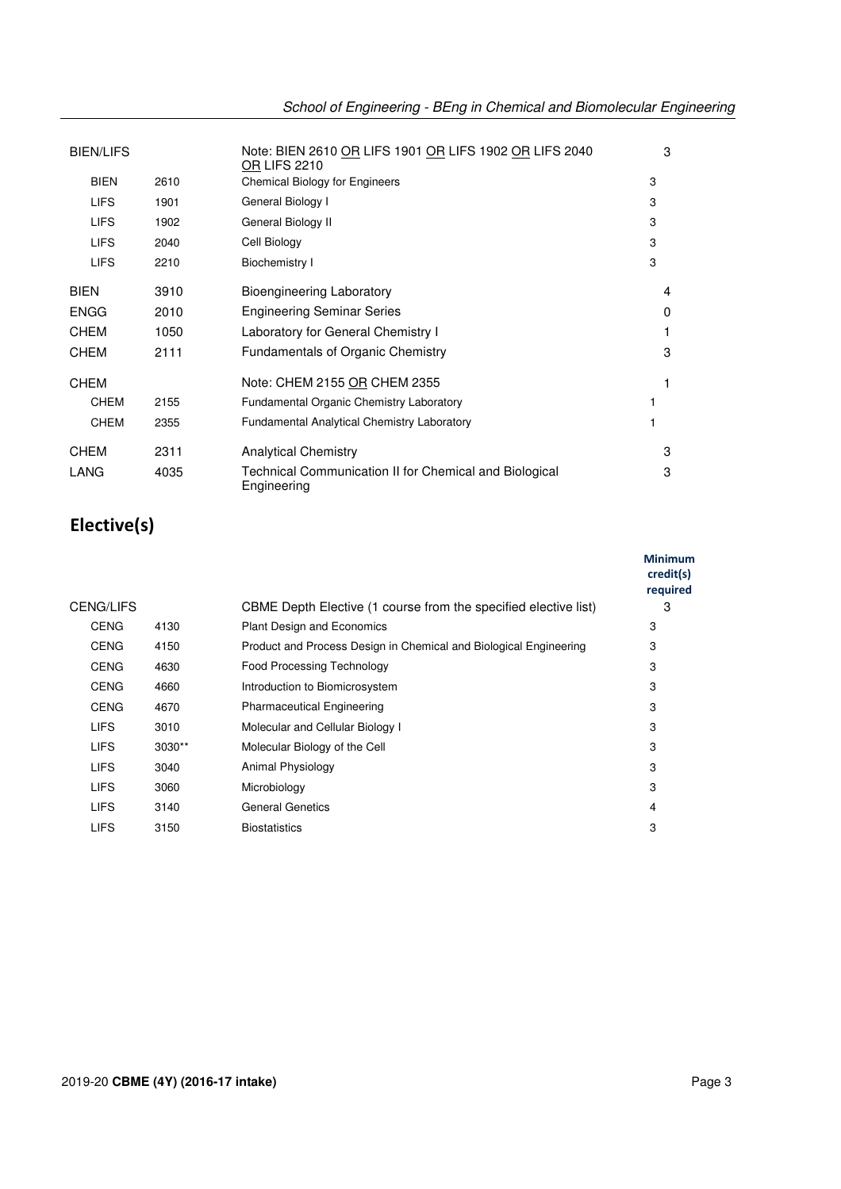|  |  |  | School of Engineering - BEng in Chemical and Biomolecular Engineering |
|--|--|--|-----------------------------------------------------------------------|
|--|--|--|-----------------------------------------------------------------------|

| <b>BIEN/LIFS</b> |      | Note: BIEN 2610 OR LIFS 1901 OR LIFS 1902 OR LIFS 2040<br><b>OR LIFS 2210</b> | 3 |
|------------------|------|-------------------------------------------------------------------------------|---|
| <b>BIEN</b>      | 2610 | <b>Chemical Biology for Engineers</b>                                         | 3 |
| <b>LIFS</b>      | 1901 | General Biology I                                                             | 3 |
| <b>LIFS</b>      | 1902 | General Biology II                                                            | 3 |
| <b>LIFS</b>      | 2040 | Cell Biology                                                                  | 3 |
| <b>LIFS</b>      | 2210 | <b>Biochemistry I</b>                                                         | 3 |
| <b>BIEN</b>      | 3910 | <b>Bioengineering Laboratory</b>                                              | 4 |
| <b>ENGG</b>      | 2010 | <b>Engineering Seminar Series</b>                                             | 0 |
| <b>CHEM</b>      | 1050 | Laboratory for General Chemistry I                                            |   |
| <b>CHEM</b>      | 2111 | <b>Fundamentals of Organic Chemistry</b>                                      | 3 |
| <b>CHEM</b>      |      | Note: CHEM 2155 OR CHEM 2355                                                  | 1 |
| <b>CHEM</b>      | 2155 | Fundamental Organic Chemistry Laboratory                                      |   |
| <b>CHEM</b>      | 2355 | <b>Fundamental Analytical Chemistry Laboratory</b>                            |   |
| <b>CHEM</b>      | 2311 | <b>Analytical Chemistry</b>                                                   | 3 |
| LANG             | 4035 | Technical Communication II for Chemical and Biological<br>Engineering         | 3 |

# **Elective(s)**

|             |          |                                                                   | <b>Minimum</b><br>credit(s)<br>required |
|-------------|----------|-------------------------------------------------------------------|-----------------------------------------|
| CENG/LIFS   |          | CBME Depth Elective (1 course from the specified elective list)   | 3                                       |
| <b>CENG</b> | 4130     | <b>Plant Design and Economics</b>                                 | 3                                       |
| <b>CENG</b> | 4150     | Product and Process Design in Chemical and Biological Engineering | 3                                       |
| <b>CENG</b> | 4630     | <b>Food Processing Technology</b>                                 | 3                                       |
| <b>CENG</b> | 4660     | Introduction to Biomicrosystem                                    | 3                                       |
| <b>CENG</b> | 4670     | <b>Pharmaceutical Engineering</b>                                 | 3                                       |
| <b>LIFS</b> | 3010     | Molecular and Cellular Biology I                                  | 3                                       |
| <b>LIFS</b> | $3030**$ | Molecular Biology of the Cell                                     | 3                                       |
| <b>LIFS</b> | 3040     | Animal Physiology                                                 | 3                                       |
| <b>LIFS</b> | 3060     | Microbiology                                                      | 3                                       |
| <b>LIFS</b> | 3140     | <b>General Genetics</b>                                           | 4                                       |
| <b>LIFS</b> | 3150     | <b>Biostatistics</b>                                              | 3                                       |
|             |          |                                                                   |                                         |